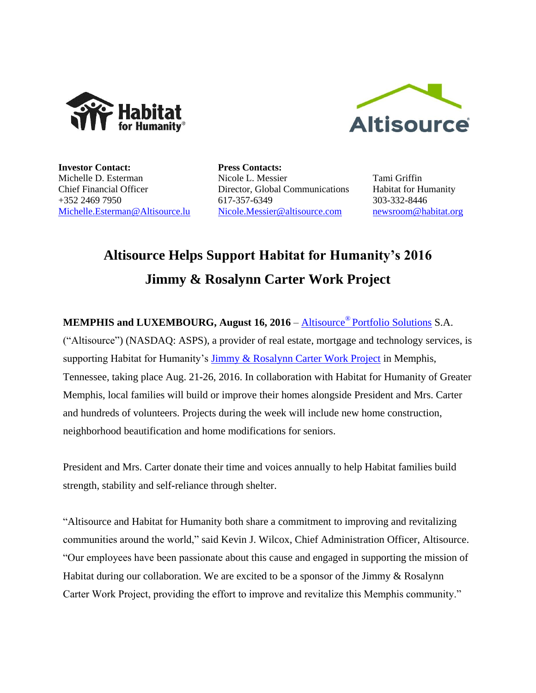



**Investor Contact:** Michelle D. Esterman Chief Financial Officer +352 2469 7950 [Michelle.Esterman@Altisource.lu](mailto:Michelle.Esterman@Altisource.lu) **Press Contacts:** Nicole L. Messier Director, Global Communications 617-357-6349 [Nicole.Messier@altisource.com](mailto:Nicole.Messier@altisource.com)

Tami Griffin Habitat for Humanity 303-332-8446 [newsroom@habitat.org](mailto:newsroom@habitat.org)

## **Altisource Helps Support Habitat for Humanity's 2016 Jimmy & Rosalynn Carter Work Project**

**MEMPHIS and LUXEMBOURG, August 16, 2016** – Altisource® [Portfolio Solutions](http://www.altisource.com/) S.A.

("Altisource") (NASDAQ: ASPS), a provider of real estate, mortgage and technology services, is supporting Habitat for Humanity's [Jimmy & Rosalynn Carter Work Project](http://www.habitat.org/cwp/2016) in Memphis, Tennessee, taking place Aug. 21**-**26, 2016. In collaboration with Habitat for Humanity of Greater Memphis, local families will build or improve their homes alongside President and Mrs. Carter and hundreds of volunteers. Projects during the week will include new home construction, neighborhood beautification and home modifications for seniors.

President and Mrs. Carter donate their time and voices annually to help Habitat families build strength, stability and self**-**reliance through shelter.

"Altisource and Habitat for Humanity both share a commitment to improving and revitalizing communities around the world," said Kevin J. Wilcox, Chief Administration Officer, Altisource. "Our employees have been passionate about this cause and engaged in supporting the mission of Habitat during our collaboration. We are excited to be a sponsor of the Jimmy & Rosalynn Carter Work Project, providing the effort to improve and revitalize this Memphis community."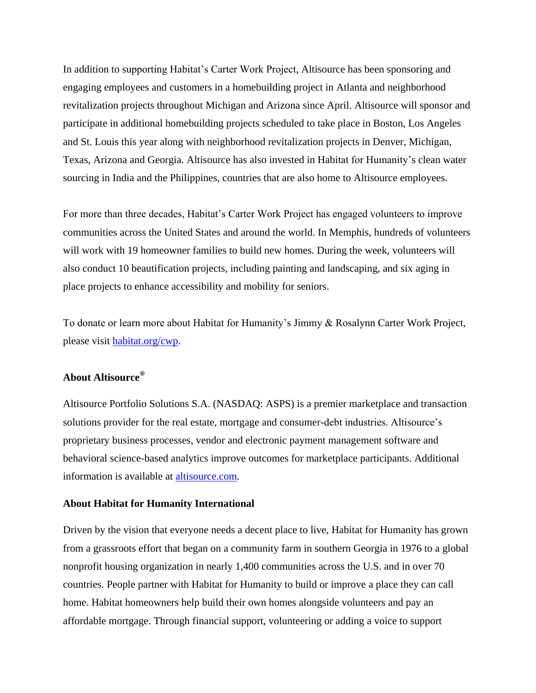In addition to supporting Habitat's Carter Work Project, Altisource has been sponsoring and engaging employees and customers in a homebuilding project in Atlanta and neighborhood revitalization projects throughout Michigan and Arizona since April. Altisource will sponsor and participate in additional homebuilding projects scheduled to take place in Boston, Los Angeles and St. Louis this year along with neighborhood revitalization projects in Denver, Michigan, Texas, Arizona and Georgia. Altisource has also invested in Habitat for Humanity's clean water sourcing in India and the Philippines, countries that are also home to Altisource employees.

For more than three decades, Habitat's Carter Work Project has engaged volunteers to improve communities across the United States and around the world. In Memphis, hundreds of volunteers will work with 19 homeowner families to build new homes. During the week, volunteers will also conduct 10 beautification projects, including painting and landscaping, and six aging in place projects to enhance accessibility and mobility for seniors.

To donate or learn more about Habitat for Humanity's Jimmy & Rosalynn Carter Work Project, please visit [habitat.org/cwp.](http://www.habitat.org/cwp)

## **About Altisource®**

Altisource Portfolio Solutions S.A. (NASDAQ: ASPS) is a premier marketplace and transaction solutions provider for the real estate, mortgage and consumer-debt industries. Altisource's proprietary business processes, vendor and electronic payment management software and behavioral science-based analytics improve outcomes for marketplace participants. Additional information is available at [altisource.com.](http://www.altisource.com/?utm_campaign=JanNewHires&utm_source=PR&utm_medium=PR&utm_content=boilerplate)

## **About Habitat for Humanity International**

Driven by the vision that everyone needs a decent place to live, Habitat for Humanity has grown from a grassroots effort that began on a community farm in southern Georgia in 1976 to a global nonprofit housing organization in nearly 1,400 communities across the U.S. and in over 70 countries. People partner with Habitat for Humanity to build or improve a place they can call home. Habitat homeowners help build their own homes alongside volunteers and pay an affordable mortgage. Through financial support, volunteering or adding a voice to support